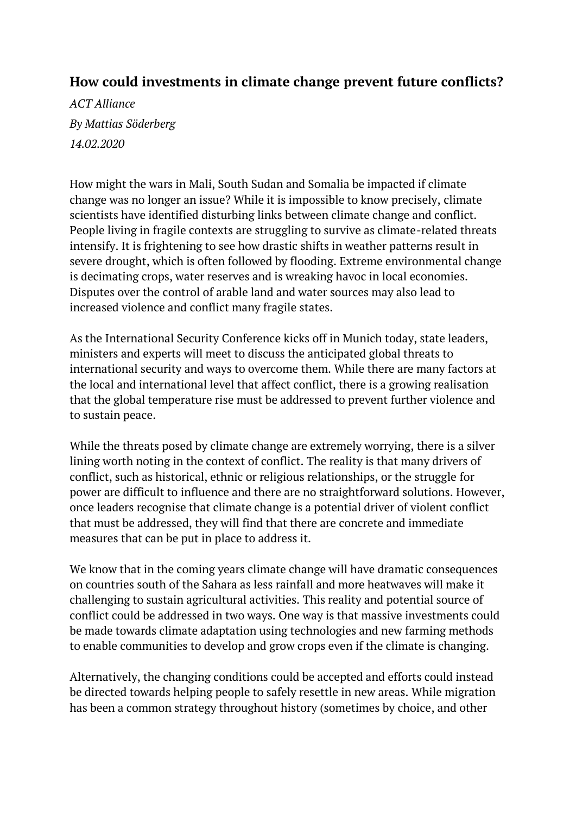## **How could investments in climate change prevent future conflicts?**

*ACT Alliance By Mattias Söderberg 14.02.2020*

How might the wars in Mali, South Sudan and Somalia be impacted if climate change was no longer an issue? While it is impossible to know precisely, climate scientists have identified disturbing links between climate change and conflict. People living in fragile contexts are struggling to survive as climate-related threats intensify. It is frightening to see how drastic shifts in weather patterns result in severe drought, which is often followed by flooding. Extreme environmental change is decimating crops, water reserves and is wreaking havoc in local economies. Disputes over the control of arable land and water sources may also lead to increased violence and conflict many fragile states.

As the [International](https://securityconference.org/en/) Security Conference kicks off in Munich today, state leaders, ministers and experts will meet to discuss the anticipated global threats to international security and ways to overcome them. While there are many factors at the local and international level that affect conflict, there is a growing realisation that the global temperature rise must be addressed to prevent further violence and to sustain peace.

While the threats posed by climate change are extremely worrying, there is a silver lining worth noting in the context of conflict. The reality is that many drivers of conflict, such as historical, ethnic or religious relationships, or the struggle for power are difficult to influence and there are no straightforward solutions. However, once leaders recognise that climate change is a potential driver of violent conflict that must be addressed, they will find that there are concrete and immediate measures that can be put in place to address it.

We know that in the coming years climate change will have dramatic consequences on countries south of the Sahara as less rainfall and more heatwaves will make it challenging to sustain agricultural activities. This reality and potential source of conflict could be addressed in two ways. One way is that massive investments could be made towards climate adaptation using technologies and new farming methods to enable communities to develop and grow crops even if the climate is changing.

Alternatively, the changing conditions could be accepted and efforts could instead be directed towards helping people to safely resettle in new areas. While migration has been a common strategy throughout history (sometimes by choice, and other